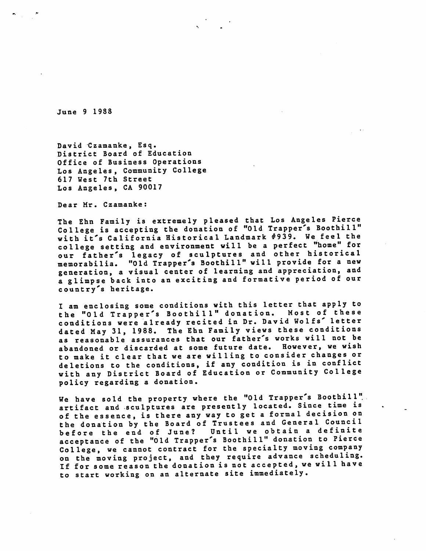June 9 1988

David Czamanke, Esq. District Board of Education Office of Business Operations Los Angeles, Community College 617 West 7th Street Los Angeles, CA 90017

Dear Mr. Czamanke:

The Ehn Family is extremely pleased that Los Angeles Pierce College is accepting the donation of "Old Trapper's Boothill" with it's California Historical Landmark #939. We feel the college setting and environment will be a perfect "home" for our father's legacy of sculptures and other historical memorabilia. "Old Trapper's Boothill" will provide for a new generation, a visual center of learning and appreciation, and a glimpse back into an exciting and formative period of our country's heritage.

I am enclosing some conditions with this letter that apply to the "Old Trapper's Boothill" donation. Most of these conditions were already recited in Dr. David Wolfs' letter dated May 31, 1988. The Ehn Family views these conditions as reasonable assurances that our father's works will not be abandoned or discarded at some future date. However, we wish to make it clear that we are willing to consider changes or de letions to the conditions, if any condition is in conflict with any District Board of Education or Community College policy regarding a donation.

We have sold the property where the "Old Trapper's Boothill" artifact and sculptures are presently located. Since time is of the essence, is there any way to get a formal decision on the donation by the Board of Trustees and General Council before the end of June? Until we obtain a definite acceptance of the "Old Trapper's Boothill" donation to Pierce College, we cannot contract for the specialty moving company on the moving project, and they require advance scheduling. If for some reason the donation is not accepted, we will have to start working on an alternate site immediately.